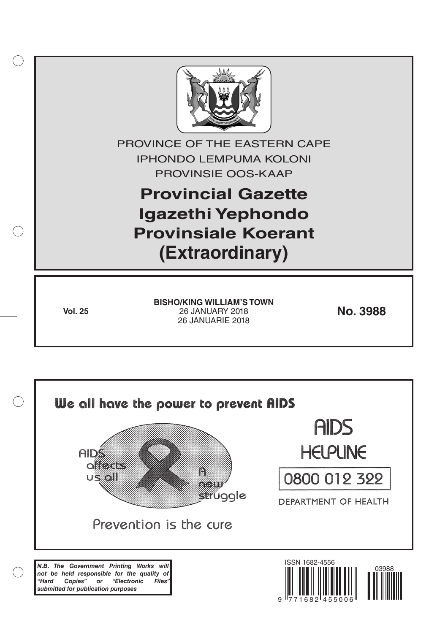

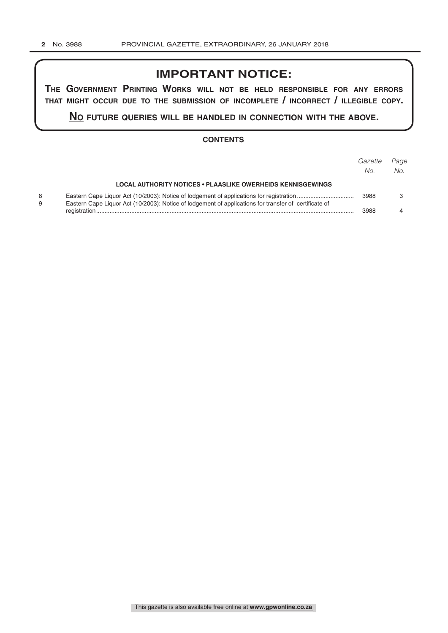# **IMPORTANT NOTICE:**

**The GovernmenT PrinTinG Works Will noT be held resPonsible for any errors ThaT miGhT occur due To The submission of incomPleTe / incorrecT / illeGible coPy.**

**no fuTure queries Will be handled in connecTion WiTh The above.**

## **CONTENTS**

|                                                                                                       | Gazette<br>No. | Page<br>No. |
|-------------------------------------------------------------------------------------------------------|----------------|-------------|
| <b>LOCAL AUTHORITY NOTICES • PLAASLIKE OWERHEIDS KENNISGEWINGS</b>                                    |                |             |
| Eastern Cape Liquor Act (10/2003): Notice of lodgement of applications for transfer of certificate of | 3988           |             |
|                                                                                                       | 3988           |             |

This gazette is also available free online at **www.gpwonline.co.za**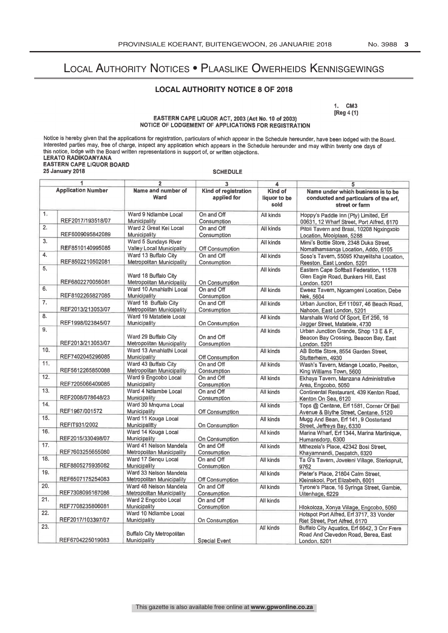# Local Authority Notices • Plaaslike Owerheids Kennisgewings

### **LOCAL AUTHORITY NOTICE 8 OF 2018**

1. CM3 [Reg 4 (1)

#### EASTERN CAPE LIQUOR ACT, 2003 (Act No. 10 of 2003) NOTICE OF LODGEMENT OF APPLICATIONS FOR REGISTRATION

Notice is hereby given that the applications for registration, particulars of which appear in the Schedule hereunder, have been lodged with the Board. Interested parties may, free of charge, inspect any application which appears in the Schedule hereunder and may within twenty one days of this notice, lodge with the Board written representations in support of, or written objections. LERATO RADIKOANYANA EASTERN CAPE LIQUOR BOARD 25 January 2018 **SCHEDULE** 

|                           |                   | 2                                                          | 3                                   | 4                               | 5                                                                                                   |  |
|---------------------------|-------------------|------------------------------------------------------------|-------------------------------------|---------------------------------|-----------------------------------------------------------------------------------------------------|--|
| <b>Application Number</b> |                   | Name and number of<br><b>Ward</b>                          | Kind of registration<br>applied for | Kind of<br>liquor to be<br>sold | Name under which business is to be<br>conducted and particulars of the erf.<br>street or farm       |  |
| 1.                        | REF2017/193518/07 | Ward 9 Ndlambe Local<br>Municipality                       | On and Off<br>Consumption           | All kinds                       | Hoppy's Paddle Inn (Pty) Limited, Erf<br>00631, 12 Wharf Street, Port Alfred, 6170                  |  |
| $\overline{2}$ .          | REF6009095842089  | Ward 2 Great Kei Local<br>Municipality                     | On and Off<br>Consumption           | All kinds                       | Pitoli Tavern and Braai, 10208 Ngxingxolo<br>Location, Mooiplaas, 5288                              |  |
| 3.                        | REF8510140995085  | Ward 5 Sundays River<br>Valley Local Municipality          | Off Consumption                     | All kinds                       | Mimi's Bottle Store, 2348 Duka Street.<br>Nomathamsanga Location, Addo, 6105                        |  |
| 4.                        | REF8502210502081  | Ward 13 Buffalo City<br>Metropolitan Municipality          | On and Off<br>Consumption           | All kinds                       | Soso's Tavern, 55095 Khayelitsha Location.<br>Reeston, East London, 5201                            |  |
| 5.                        | REF6802270056081  | Ward 18 Buffalo City<br>Metropolitan Municipality          | On Consumption                      | All kinds                       | Eastern Cape Softball Federation, 11578<br>Glen Eagle Road, Bunkers Hill, East<br>London, 5201      |  |
| 6.                        | REF8102265827085  | Ward 10 Amahlathi Local<br>Municipality                    | On and Off<br>Consumption           | All kinds                       | Eweez Tavern, Ngcamgeni Location, Debe<br>Nek, 5604                                                 |  |
| 7.                        | REF2013/213053/07 | Ward 18 Buffalo City<br>Metropolitan Municipality          | On and Off<br>Consumption           | All kinds                       | Urban Junction, Erf 11097, 46 Beach Road.<br>Nahoon, East London, 5201                              |  |
| 8.                        | REF1998/023845/07 | Ward 19 Matatiele Local<br><b>Municipality</b>             | On Consumption                      | All kinds                       | Marshalls World Of Sport, Erf 256, 16<br>Jagger Street, Matatiele, 4730                             |  |
| 9.                        | REF2013/213053/07 | Ward 29 Buffalo City<br>Metropolitan Municipality          | On and Off<br>Consumption           | All kinds                       | Urban Junction Grande, Shop 13 E & F,<br>Beacon Bay Crossing, Beacon Bay, East<br>London, 5201      |  |
| 10.                       | REF7402045296085  | Ward 13 Amahlathi Local<br>Municipality                    | Off Consumption                     | All kinds                       | AB Bottle Store, 8554 Garden Street,<br>Stutterheim, 4930                                           |  |
| 11.                       | REF5612265850088  | Ward 43 Buffalo City<br><b>Metropolitan Municipality</b>   | On and Off<br>Consumption           | All kinds                       | Wash's Tavern, Mdange Locatio, Peelton,<br>King Williams Town, 5600                                 |  |
| 12.                       | REF7205066409085  | Ward 9 Engcobo Local<br>Municipality                       | On and Off<br>Consumption           | All kinds                       | Ekhaya Tavern, Manzana Administrative<br>Area, Engcobo, 5050                                        |  |
| 13.                       | REF2008/078648/23 | Ward 4 Ndlambe Local<br>Municipality                       | On and Off<br>Consumption           | All kinds                       | Continental Restaurant, 439 Kenton Road,<br>Kenton On Sea, 6120                                     |  |
| 14.                       | REF1967/001572    | Ward 30 Mnguma Local<br>Municipality                       | Off Consumption                     | All kinds                       | Tops @ Centane, Erf 1581, Corner Of Bell<br>Avenue & Blythe Street, Centane, 5120                   |  |
| 15.                       | REFIT931/2002     | Ward 11 Kouga Local<br>Municipalitty                       | On Consumption                      | All kinds                       | Mugg And Bean, Erf 141, 9 Oosterland<br>Street, Jeffreys Bay, 6330                                  |  |
| 16.                       | REF2015/330498/07 | Ward 14 Kouga Local<br>Municipality                        | On Consumption                      | All kinds                       | Marina Wharf, Erf 1344, Marina Martinique,<br>Humansdorp, 6300                                      |  |
| 17.                       | REF7603255655080  | Ward 41 Nelson Mandela<br>Metropolitan Municipality        | On and Off<br>Consumption           | All kinds                       | Mthezela's Place, 42342 Bosi Street,<br>Khayamnandi, Despatch, 6320                                 |  |
| 18.                       | REF8805275935082  | Ward 17 Sengu Local<br>Municipality                        | On and Off<br>Consumption           | All kinds                       | Ta G's Tavern, Joveleni Village, Sterkspruit,<br>9762                                               |  |
| 19.                       | REF6507175254083  | Ward 33 Nelson Mandela<br>Metropolitan Municipality        | Off Consumption                     | All kinds                       | Pieter's Place, 21804 Calm Street,<br>Kleinskool, Port Elizabeth, 6001                              |  |
| 20.                       | REF7308095167086  | Ward 48 Nelson Mandela<br><b>Metropolitan Municipality</b> | On and Off<br>Consumption           | All kinds                       | Tyrone's Place, 16 Syringa Street, Gambie,<br>Uitenhage, 6229                                       |  |
| 21.                       | REF7708235806081  | Ward 2 Engcobo Local<br>Municipality                       | On and Off<br>Consumption           | All kinds                       | Hlokoloza, Xonya Village, Engcobo, 5050                                                             |  |
| 22.                       | REF2017/103397/07 | Ward 10 Ndlambe Local<br>Municipality                      | On Consumption                      |                                 | Hotspot Port Alfred, Erf 3717, 33 Vonder<br>Riet Street, Port Alfred, 6170                          |  |
| 23.                       | REF6704225019083  | <b>Buffalo City Metropolitan</b><br>Municipality           | <b>Special Event</b>                | All kinds                       | Buffalo City Aguatics, Erf 6642, 3 Cnr Frere<br>Road And Clevedon Road, Berea, East<br>London, 5201 |  |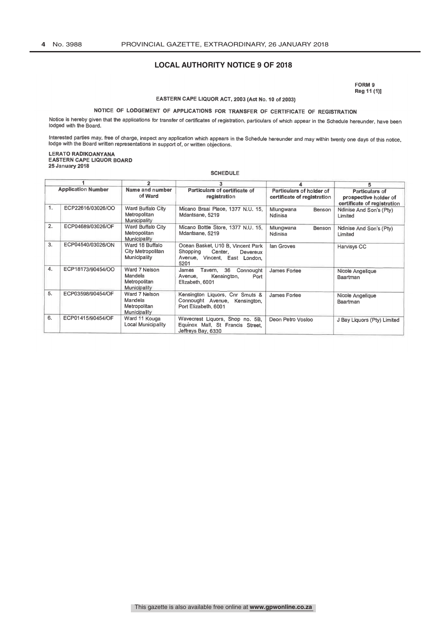### **LOCAL AUTHORITY NOTICE 9 OF 2018**

FORM 9 Reg 11 (1)]

#### EASTERN CAPE LIQUOR ACT, 2003 (Act No.10 of 2003)

## NOTICE OF LODGEMENT OF APPLICATIONS FOR TRANSFER OF CERTIFICATE OF REGISTRATION

Notice is hereby given that the applications for transfer of certificates of registration, particulars of which appear in the Schedule hereunder, have been lodged with the Board.

interested parties may, free of charge, inspect any application which appears in the Schedule hereunder and may within twenty one days of this notice,<br>lodge with the Board written representations in support of, or written

# LERATO RADIKOANYANA EASTERN CAPE LIQUOR BOARD 25 January 2018

**SCHEDULE** 

| <b>Application Number</b> |                   | $\mathbf 2$                                              |                                                                                                               |                                                         | 5<br>Particulars of<br>prospective holder of<br>certificate of registration |
|---------------------------|-------------------|----------------------------------------------------------|---------------------------------------------------------------------------------------------------------------|---------------------------------------------------------|-----------------------------------------------------------------------------|
|                           |                   | Name and number<br>of Ward                               | Particulars of certificate of<br>registration                                                                 | Particulars of holder of<br>certificate of registration |                                                                             |
| 1.                        | ECP22616/03026/OO | Ward Buffalo City<br>Metropolitan<br>Municipality        | Micano Braai Place, 1377 N.U. 15,<br>Mdantsane, 5219                                                          | Mlungwana<br>Benson<br>Ndinisa                          | Ndinise And Son's (Pty)<br>Limited                                          |
| 2.                        | ECP04689/03026/OF | Ward Buffalo City<br>Metropolitan<br>Municipality        | Micano Bottle Store, 1377 N.U. 15,<br>Mdantsane, 5219                                                         | Mlungwana<br>Benson<br>Ndinisa                          | Ndinise And Son's (Pty)<br>Limited                                          |
| 3.                        | ECP04540/03026/ON | Ward 18 Buffalo<br>City Metropolitan<br>Municipality     | Ocean Basket, U10 B, Vincent Park<br>Shopping<br>Center,<br>Devereux<br>Avenue, Vincent, East London.<br>5201 | lan Groves                                              | Harvisys CC                                                                 |
| 4.                        | ECP18173/90454/OO | Ward 7 Nelson<br>Mandela<br>Metropolitan<br>Municipality | Tavern,<br>James<br>36<br>Connought<br>Kensington,<br>Avenue,<br>Port<br>Elizabeth, 6001                      | James Forlee                                            | Nicole Angelique<br>Baartman                                                |
| 5.                        | ECP03598/90454/OF | Ward 7 Nelson<br>Mandela<br>Metropolitan<br>Municipality | Kensington Liquors, Cnr Smuts &<br>Connought Avenue,<br>Kensington,<br>Port Elizabeth, 6001                   | James Forlee                                            | Nicole Angelique<br><b>Baartman</b>                                         |
| 6.                        | ECP01415/90454/OF | Ward 11 Kouga<br>Local Municipality                      | Wavecrest Liquors, Shop no. 5B,<br>Equinox Mall, St Francis Street,<br>Jeffreys Bay, 6330                     | Deon Petro Vosloo                                       | J Bay Liquors (Pty) Limited                                                 |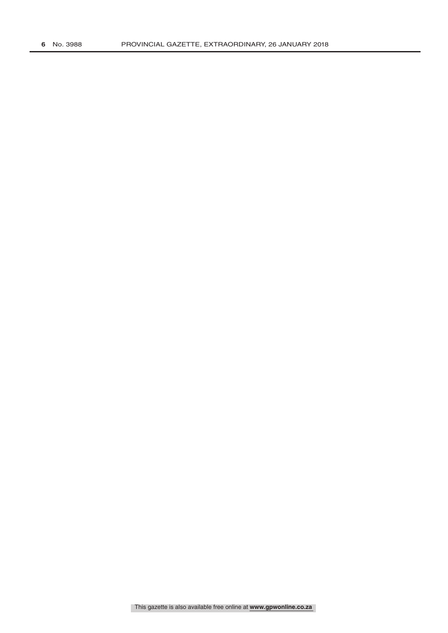This gazette is also available free online at **www.gpwonline.co.za**